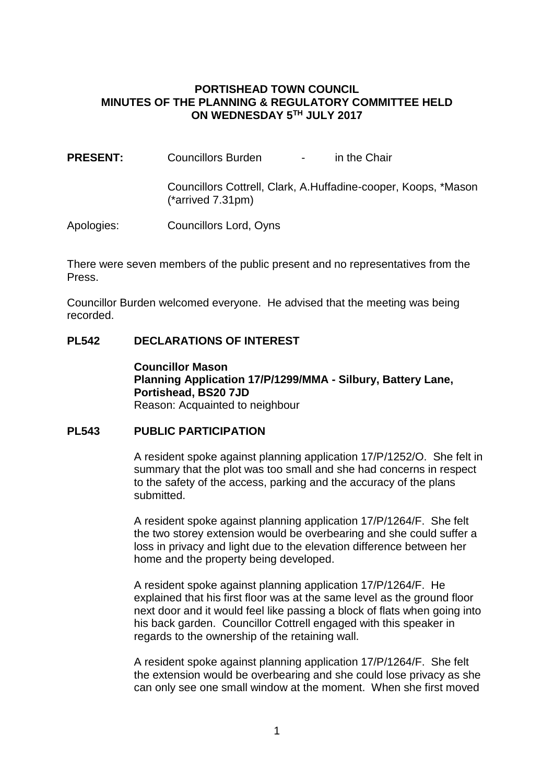### **PORTISHEAD TOWN COUNCIL MINUTES OF THE PLANNING & REGULATORY COMMITTEE HELD ON WEDNESDAY 5TH JULY 2017**

**PRESENT:** Councillors Burden - in the Chair Councillors Cottrell, Clark, A.Huffadine-cooper, Koops, \*Mason (\*arrived 7.31pm)

Apologies: Councillors Lord, Oyns

There were seven members of the public present and no representatives from the Press.

Councillor Burden welcomed everyone. He advised that the meeting was being recorded.

### **PL542 DECLARATIONS OF INTEREST**

**Councillor Mason Planning Application 17/P/1299/MMA - Silbury, Battery Lane, Portishead, BS20 7JD** Reason: Acquainted to neighbour

### **PL543 PUBLIC PARTICIPATION**

A resident spoke against planning application 17/P/1252/O. She felt in summary that the plot was too small and she had concerns in respect to the safety of the access, parking and the accuracy of the plans submitted.

A resident spoke against planning application 17/P/1264/F. She felt the two storey extension would be overbearing and she could suffer a loss in privacy and light due to the elevation difference between her home and the property being developed.

A resident spoke against planning application 17/P/1264/F. He explained that his first floor was at the same level as the ground floor next door and it would feel like passing a block of flats when going into his back garden. Councillor Cottrell engaged with this speaker in regards to the ownership of the retaining wall.

A resident spoke against planning application 17/P/1264/F. She felt the extension would be overbearing and she could lose privacy as she can only see one small window at the moment. When she first moved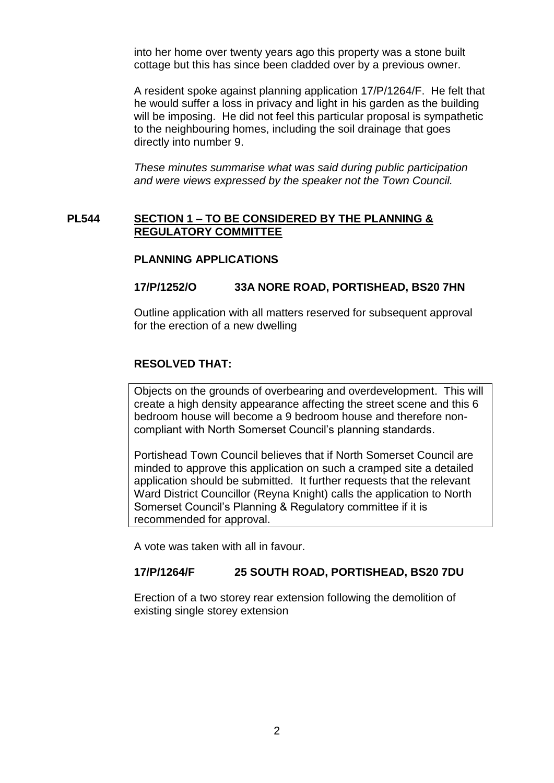into her home over twenty years ago this property was a stone built cottage but this has since been cladded over by a previous owner.

A resident spoke against planning application 17/P/1264/F. He felt that he would suffer a loss in privacy and light in his garden as the building will be imposing. He did not feel this particular proposal is sympathetic to the neighbouring homes, including the soil drainage that goes directly into number 9.

*These minutes summarise what was said during public participation and were views expressed by the speaker not the Town Council.*

#### **PL544 SECTION 1 – TO BE CONSIDERED BY THE PLANNING & REGULATORY COMMITTEE**

#### **PLANNING APPLICATIONS**

#### **17/P/1252/O 33A NORE ROAD, PORTISHEAD, BS20 7HN**

Outline application with all matters reserved for subsequent approval for the erection of a new dwelling

#### **RESOLVED THAT:**

Objects on the grounds of overbearing and overdevelopment. This will create a high density appearance affecting the street scene and this 6 bedroom house will become a 9 bedroom house and therefore noncompliant with North Somerset Council's planning standards.

Portishead Town Council believes that if North Somerset Council are minded to approve this application on such a cramped site a detailed application should be submitted. It further requests that the relevant Ward District Councillor (Reyna Knight) calls the application to North Somerset Council's Planning & Regulatory committee if it is recommended for approval.

A vote was taken with all in favour.

#### **17/P/1264/F 25 SOUTH ROAD, PORTISHEAD, BS20 7DU**

Erection of a two storey rear extension following the demolition of existing single storey extension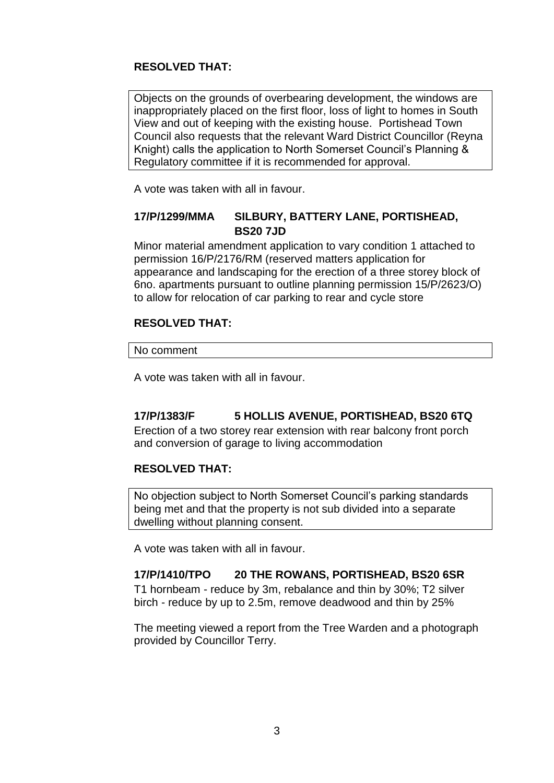# **RESOLVED THAT:**

Objects on the grounds of overbearing development, the windows are inappropriately placed on the first floor, loss of light to homes in South View and out of keeping with the existing house. Portishead Town Council also requests that the relevant Ward District Councillor (Reyna Knight) calls the application to North Somerset Council's Planning & Regulatory committee if it is recommended for approval.

A vote was taken with all in favour.

# **17/P/1299/MMA SILBURY, BATTERY LANE, PORTISHEAD, BS20 7JD**

Minor material amendment application to vary condition 1 attached to permission 16/P/2176/RM (reserved matters application for appearance and landscaping for the erection of a three storey block of 6no. apartments pursuant to outline planning permission 15/P/2623/O) to allow for relocation of car parking to rear and cycle store

### **RESOLVED THAT:**

No comment

A vote was taken with all in favour.

# **17/P/1383/F 5 HOLLIS AVENUE, PORTISHEAD, BS20 6TQ**

Erection of a two storey rear extension with rear balcony front porch and conversion of garage to living accommodation

## **RESOLVED THAT:**

No objection subject to North Somerset Council's parking standards being met and that the property is not sub divided into a separate dwelling without planning consent.

A vote was taken with all in favour.

### **17/P/1410/TPO 20 THE ROWANS, PORTISHEAD, BS20 6SR**

T1 hornbeam - reduce by 3m, rebalance and thin by 30%; T2 silver birch - reduce by up to 2.5m, remove deadwood and thin by 25%

The meeting viewed a report from the Tree Warden and a photograph provided by Councillor Terry.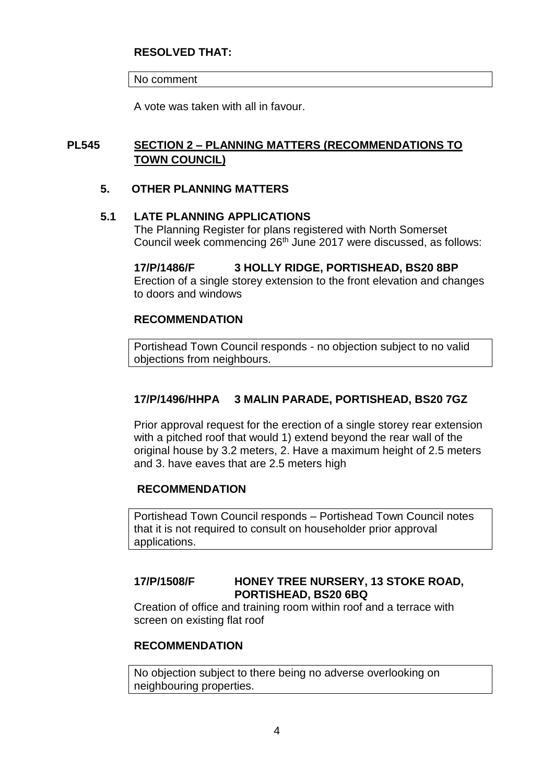### **RESOLVED THAT:**

No comment

A vote was taken with all in favour.

# **PL545 SECTION 2 – PLANNING MATTERS (RECOMMENDATIONS TO TOWN COUNCIL)**

### **5. OTHER PLANNING MATTERS**

### **5.1 LATE PLANNING APPLICATIONS**

The Planning Register for plans registered with North Somerset Council week commencing 26th June 2017 were discussed, as follows:

# **17/P/1486/F 3 HOLLY RIDGE, PORTISHEAD, BS20 8BP**

Erection of a single storey extension to the front elevation and changes to doors and windows

### **RECOMMENDATION**

Portishead Town Council responds - no objection subject to no valid objections from neighbours.

## **17/P/1496/HHPA 3 MALIN PARADE, PORTISHEAD, BS20 7GZ**

Prior approval request for the erection of a single storey rear extension with a pitched roof that would 1) extend beyond the rear wall of the original house by 3.2 meters, 2. Have a maximum height of 2.5 meters and 3. have eaves that are 2.5 meters high

### **RECOMMENDATION**

Portishead Town Council responds – Portishead Town Council notes that it is not required to consult on householder prior approval applications.

## **17/P/1508/F HONEY TREE NURSERY, 13 STOKE ROAD, PORTISHEAD, BS20 6BQ**

Creation of office and training room within roof and a terrace with screen on existing flat roof

### **RECOMMENDATION**

No objection subject to there being no adverse overlooking on neighbouring properties.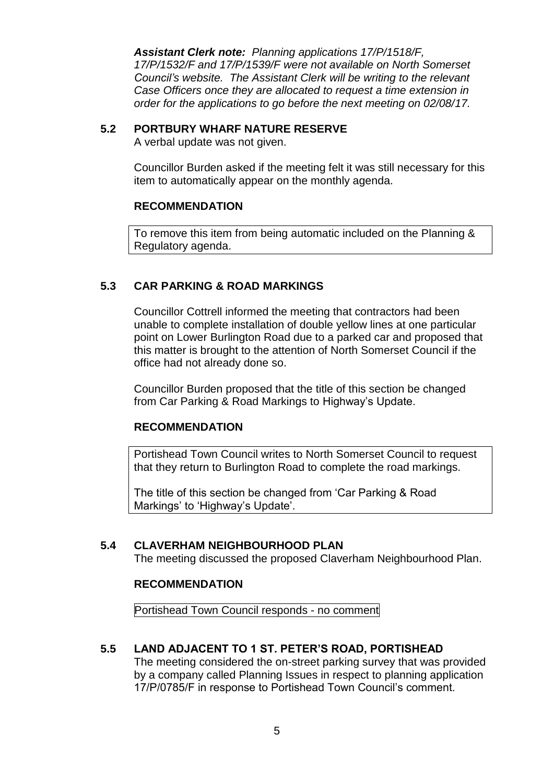*Assistant Clerk note: Planning applications 17/P/1518/F, 17/P/1532/F and 17/P/1539/F were not available on North Somerset Council's website. The Assistant Clerk will be writing to the relevant Case Officers once they are allocated to request a time extension in order for the applications to go before the next meeting on 02/08/17.*

# **5.2 PORTBURY WHARF NATURE RESERVE**

A verbal update was not given.

Councillor Burden asked if the meeting felt it was still necessary for this item to automatically appear on the monthly agenda.

## **RECOMMENDATION**

To remove this item from being automatic included on the Planning & Regulatory agenda.

# **5.3 CAR PARKING & ROAD MARKINGS**

Councillor Cottrell informed the meeting that contractors had been unable to complete installation of double yellow lines at one particular point on Lower Burlington Road due to a parked car and proposed that this matter is brought to the attention of North Somerset Council if the office had not already done so.

Councillor Burden proposed that the title of this section be changed from Car Parking & Road Markings to Highway's Update.

### **RECOMMENDATION**

Portishead Town Council writes to North Somerset Council to request that they return to Burlington Road to complete the road markings.

The title of this section be changed from 'Car Parking & Road Markings' to 'Highway's Update'.

## **5.4 CLAVERHAM NEIGHBOURHOOD PLAN**

The meeting discussed the proposed Claverham Neighbourhood Plan.

### **RECOMMENDATION**

Portishead Town Council responds - no comment

## **5.5 LAND ADJACENT TO 1 ST. PETER'S ROAD, PORTISHEAD**

The meeting considered the on-street parking survey that was provided by a company called Planning Issues in respect to planning application 17/P/0785/F in response to Portishead Town Council's comment.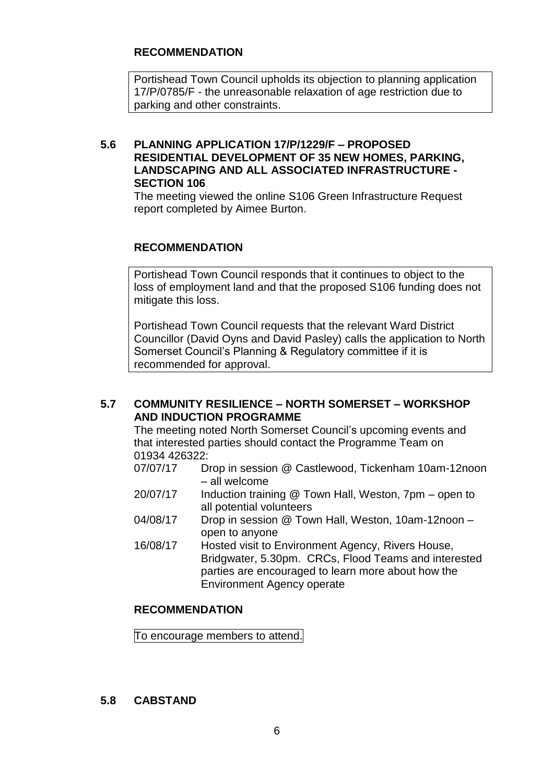### **RECOMMENDATION**

Portishead Town Council upholds its objection to planning application 17/P/0785/F - the unreasonable relaxation of age restriction due to parking and other constraints.

### **5.6 PLANNING APPLICATION 17/P/1229/F – PROPOSED RESIDENTIAL DEVELOPMENT OF 35 NEW HOMES, PARKING, LANDSCAPING AND ALL ASSOCIATED INFRASTRUCTURE - SECTION 106**

The meeting viewed the online S106 Green Infrastructure Request report completed by Aimee Burton.

### **RECOMMENDATION**

Portishead Town Council responds that it continues to object to the loss of employment land and that the proposed S106 funding does not mitigate this loss.

Portishead Town Council requests that the relevant Ward District Councillor (David Oyns and David Pasley) calls the application to North Somerset Council's Planning & Regulatory committee if it is recommended for approval.

### **5.7 COMMUNITY RESILIENCE – NORTH SOMERSET – WORKSHOP AND INDUCTION PROGRAMME**

The meeting noted North Somerset Council's upcoming events and that interested parties should contact the Programme Team on 01934 426322:

- 07/07/17 Drop in session @ Castlewood, Tickenham 10am-12noon – all welcome
- 20/07/17 Induction training @ Town Hall, Weston, 7pm open to all potential volunteers
- 04/08/17 Drop in session @ Town Hall, Weston, 10am-12noon open to anyone
- 16/08/17 Hosted visit to Environment Agency, Rivers House, Bridgwater, 5.30pm. CRCs, Flood Teams and interested parties are encouraged to learn more about how the Environment Agency operate

### **RECOMMENDATION**

To encourage members to attend.

### **5.8 CABSTAND**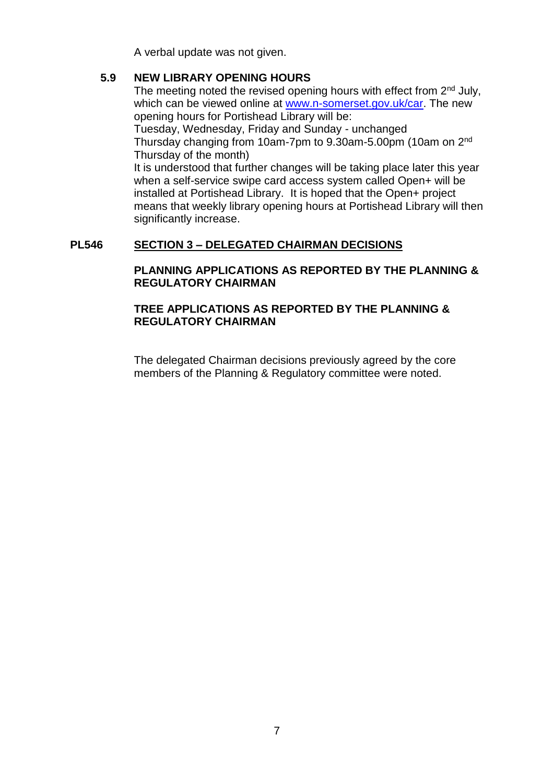A verbal update was not given.

## **5.9 NEW LIBRARY OPENING HOURS**

The meeting noted the revised opening hours with effect from 2<sup>nd</sup> July, which can be viewed online at [www.n-somerset.gov.uk/car.](http://www.n-somerset.gov.uk/car) The new opening hours for Portishead Library will be:

Tuesday, Wednesday, Friday and Sunday - unchanged Thursday changing from 10am-7pm to 9.30am-5.00pm (10am on 2nd Thursday of the month)

It is understood that further changes will be taking place later this year when a self-service swipe card access system called Open+ will be installed at Portishead Library. It is hoped that the Open+ project means that weekly library opening hours at Portishead Library will then significantly increase.

## **PL546 SECTION 3 – DELEGATED CHAIRMAN DECISIONS**

## **PLANNING APPLICATIONS AS REPORTED BY THE PLANNING & REGULATORY CHAIRMAN**

### **TREE APPLICATIONS AS REPORTED BY THE PLANNING & REGULATORY CHAIRMAN**

The delegated Chairman decisions previously agreed by the core members of the Planning & Regulatory committee were noted.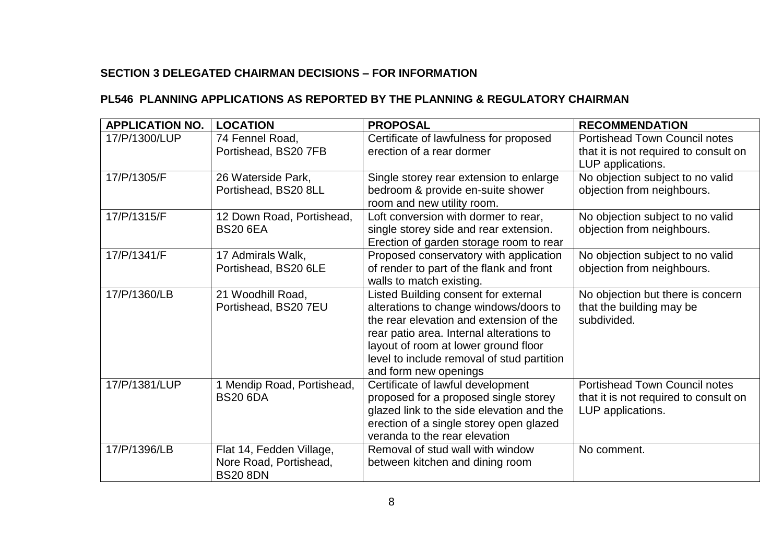# **SECTION 3 DELEGATED CHAIRMAN DECISIONS – FOR INFORMATION**

# **PL546 PLANNING APPLICATIONS AS REPORTED BY THE PLANNING & REGULATORY CHAIRMAN**

| <b>APPLICATION NO.</b> | <b>LOCATION</b>                                                       | <b>PROPOSAL</b>                                                                                                                                                                                                                                                                      | <b>RECOMMENDATION</b>                                                                              |
|------------------------|-----------------------------------------------------------------------|--------------------------------------------------------------------------------------------------------------------------------------------------------------------------------------------------------------------------------------------------------------------------------------|----------------------------------------------------------------------------------------------------|
| 17/P/1300/LUP          | 74 Fennel Road,<br>Portishead, BS20 7FB                               | Certificate of lawfulness for proposed<br>erection of a rear dormer                                                                                                                                                                                                                  | <b>Portishead Town Council notes</b><br>that it is not required to consult on<br>LUP applications. |
| 17/P/1305/F            | 26 Waterside Park,<br>Portishead, BS20 8LL                            | Single storey rear extension to enlarge<br>bedroom & provide en-suite shower<br>room and new utility room.                                                                                                                                                                           | No objection subject to no valid<br>objection from neighbours.                                     |
| 17/P/1315/F            | 12 Down Road, Portishead,<br><b>BS20 6EA</b>                          | Loft conversion with dormer to rear,<br>single storey side and rear extension.<br>Erection of garden storage room to rear                                                                                                                                                            | No objection subject to no valid<br>objection from neighbours.                                     |
| 17/P/1341/F            | 17 Admirals Walk,<br>Portishead, BS20 6LE                             | Proposed conservatory with application<br>of render to part of the flank and front<br>walls to match existing.                                                                                                                                                                       | No objection subject to no valid<br>objection from neighbours.                                     |
| 17/P/1360/LB           | 21 Woodhill Road,<br>Portishead, BS20 7EU                             | Listed Building consent for external<br>alterations to change windows/doors to<br>the rear elevation and extension of the<br>rear patio area. Internal alterations to<br>layout of room at lower ground floor<br>level to include removal of stud partition<br>and form new openings | No objection but there is concern<br>that the building may be<br>subdivided.                       |
| 17/P/1381/LUP          | 1 Mendip Road, Portishead,<br><b>BS20 6DA</b>                         | Certificate of lawful development<br>proposed for a proposed single storey<br>glazed link to the side elevation and the<br>erection of a single storey open glazed<br>veranda to the rear elevation                                                                                  | <b>Portishead Town Council notes</b><br>that it is not required to consult on<br>LUP applications. |
| 17/P/1396/LB           | Flat 14, Fedden Village,<br>Nore Road, Portishead,<br><b>BS20 8DN</b> | Removal of stud wall with window<br>between kitchen and dining room                                                                                                                                                                                                                  | No comment.                                                                                        |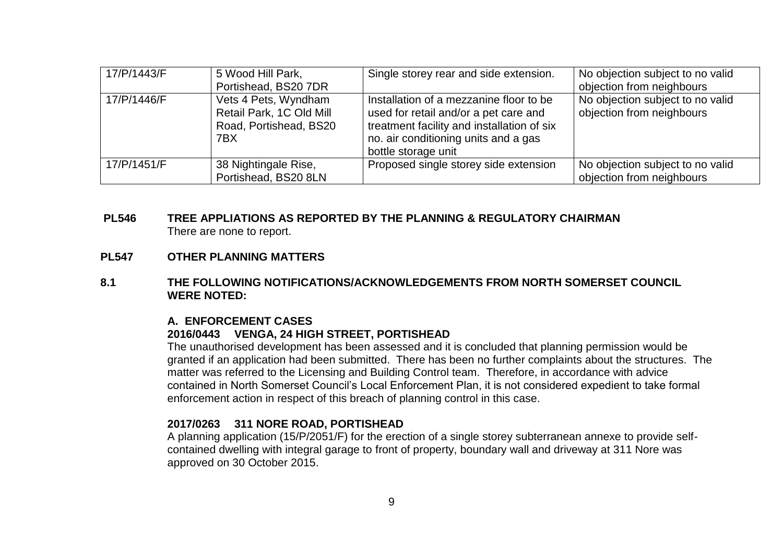| 17/P/1443/F | 5 Wood Hill Park,<br>Portishead, BS20 7DR                                         | Single storey rear and side extension.                                                                                                                                                        | No objection subject to no valid<br>objection from neighbours |
|-------------|-----------------------------------------------------------------------------------|-----------------------------------------------------------------------------------------------------------------------------------------------------------------------------------------------|---------------------------------------------------------------|
| 17/P/1446/F | Vets 4 Pets, Wyndham<br>Retail Park, 1C Old Mill<br>Road, Portishead, BS20<br>7BX | Installation of a mezzanine floor to be<br>used for retail and/or a pet care and<br>treatment facility and installation of six<br>no. air conditioning units and a gas<br>bottle storage unit | No objection subject to no valid<br>objection from neighbours |
| 17/P/1451/F | 38 Nightingale Rise,<br>Portishead, BS20 8LN                                      | Proposed single storey side extension                                                                                                                                                         | No objection subject to no valid<br>objection from neighbours |

### **PL546 TREE APPLIATIONS AS REPORTED BY THE PLANNING & REGULATORY CHAIRMAN** There are none to report.

#### **PL547 OTHER PLANNING MATTERS**

#### **8.1 THE FOLLOWING NOTIFICATIONS/ACKNOWLEDGEMENTS FROM NORTH SOMERSET COUNCIL WERE NOTED:**

#### **A. ENFORCEMENT CASES 2016/0443 VENGA, 24 HIGH STREET, PORTISHEAD**

The unauthorised development has been assessed and it is concluded that planning permission would be granted if an application had been submitted. There has been no further complaints about the structures. The matter was referred to the Licensing and Building Control team. Therefore, in accordance with advice contained in North Somerset Council's Local Enforcement Plan, it is not considered expedient to take formal enforcement action in respect of this breach of planning control in this case.

### **2017/0263 311 NORE ROAD, PORTISHEAD**

A planning application (15/P/2051/F) for the erection of a single storey subterranean annexe to provide selfcontained dwelling with integral garage to front of property, boundary wall and driveway at 311 Nore was approved on 30 October 2015.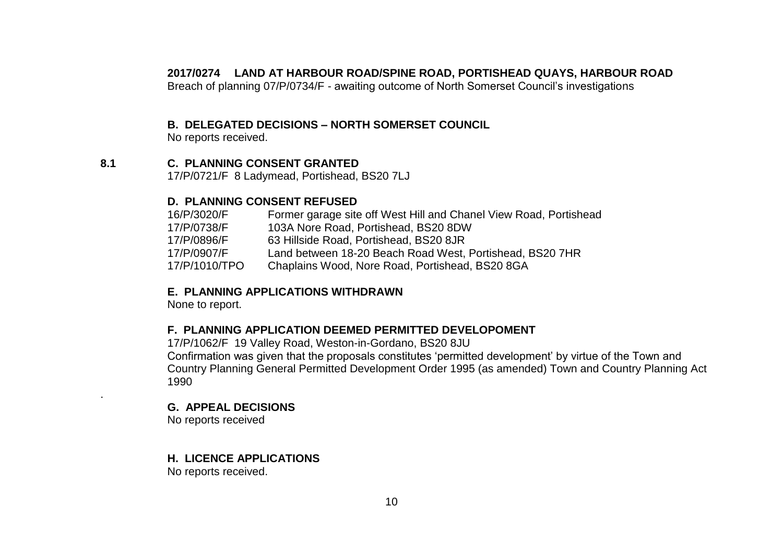#### **2017/0274 LAND AT HARBOUR ROAD/SPINE ROAD, PORTISHEAD QUAYS, HARBOUR ROAD**

Breach of planning 07/P/0734/F - awaiting outcome of North Somerset Council's investigations

### **B. DELEGATED DECISIONS – NORTH SOMERSET COUNCIL**

No reports received.

### **8.1 C. PLANNING CONSENT GRANTED**

17/P/0721/F 8 Ladymead, Portishead, BS20 7LJ

#### **D. PLANNING CONSENT REFUSED**

| 16/P/3020/F   | Former garage site off West Hill and Chanel View Road, Portishead |
|---------------|-------------------------------------------------------------------|
| 17/P/0738/F   | 103A Nore Road, Portishead, BS20 8DW                              |
| 17/P/0896/F   | 63 Hillside Road, Portishead, BS20 8JR                            |
| 17/P/0907/F   | Land between 18-20 Beach Road West, Portishead, BS20 7HR          |
| 17/P/1010/TPO | Chaplains Wood, Nore Road, Portishead, BS20 8GA                   |

### **E. PLANNING APPLICATIONS WITHDRAWN**

None to report.

### **F. PLANNING APPLICATION DEEMED PERMITTED DEVELOPOMENT**

17/P/1062/F 19 Valley Road, Weston-in-Gordano, BS20 8JU

Confirmation was given that the proposals constitutes 'permitted development' by virtue of the Town and Country Planning General Permitted Development Order 1995 (as amended) Town and Country Planning Act 1990

### **G. APPEAL DECISIONS**

No reports received

.

### **H. LICENCE APPLICATIONS**

No reports received.